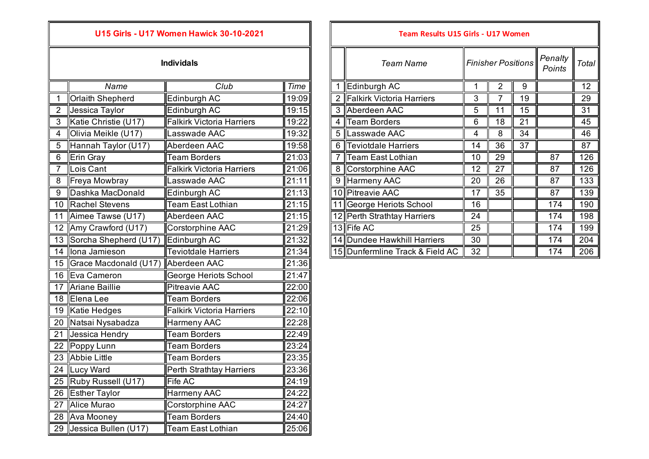|                 | Name                    | Club                             | Time  |
|-----------------|-------------------------|----------------------------------|-------|
| $\overline{1}$  | <b>Orlaith Shepherd</b> | Edinburgh AC                     | 19:09 |
| $\overline{2}$  | Jessica Taylor          | Edinburgh AC                     | 19:15 |
| $\overline{3}$  | Katie Christie (U17)    | <b>Falkirk Victoria Harriers</b> | 19:22 |
| 4               | Olivia Meikle (U17)     | Lasswade AAC                     | 19:32 |
| $\overline{5}$  | Hannah Taylor (U17)     | Aberdeen AAC                     | 19:58 |
| 6               | Erin Gray               | <b>Team Borders</b>              | 21:03 |
| 7               | Lois Cant               | Falkirk Victoria Harriers        | 21:06 |
| 8               | Freya Mowbray           | Lasswade AAC                     | 21:11 |
| 9               | Dashka MacDonald        | Edinburgh AC                     | 21:13 |
| 10              | <b>Rachel Stevens</b>   | <b>Team East Lothian</b>         | 21:15 |
| $\overline{11}$ | Aimee Tawse (U17)       | Aberdeen AAC                     | 21:15 |
| 12              | Amy Crawford (U17)      | Corstorphine AAC                 | 21:29 |
| 13              | Sorcha Shepherd (U17)   | Edinburgh AC                     | 21:32 |
| 14              | lona Jamieson           | <b>Teviotdale Harriers</b>       | 21:34 |
| 15              | Grace Macdonald (U17)   | Aberdeen AAC                     | 21:36 |
| 16              | Eva Cameron             | George Heriots School            | 21:47 |
| 17              | <b>Ariane Baillie</b>   | <b>Pitreavie AAC</b>             | 22:00 |
|                 | 18 Elena Lee            | <b>Team Borders</b>              | 22:06 |
| 19              | Katie Hedges            | <b>Falkirk Victoria Harriers</b> | 22:10 |
| 20              | Natsai Nysabadza        | <b>Harmeny AAC</b>               | 22:28 |
| 21              | Jessica Hendry          | <b>Team Borders</b>              | 22:49 |
| 22              | Poppy Lunn              | <b>Team Borders</b>              | 23:24 |
| $\overline{23}$ | <b>Abbie Little</b>     | <b>Team Borders</b>              | 23:35 |
| 24              | Lucy Ward               | Perth Strathtay Harriers         | 23:36 |
| $\overline{25}$ | Ruby Russell (U17)      | Fife AC                          | 24:19 |
|                 | 26 Esther Taylor        | Harmeny AAC                      | 24:22 |
| 27              | <b>Alice Murao</b>      | Corstorphine AAC                 | 24:27 |
| 28              | Ava Mooney              | <b>Team Borders</b>              | 24:40 |
| 29              | Jessica Bullen (U17)    | <b>Team East Lothian</b>         | 25:06 |

## *Team Name Penalty*  **Individals** *Finisher PositionsPoints Total Name* 1 **Edinburgh AC** 1 **1** 2 9 12 2 Falkirk Victoria Harriers 3 7 19 29 2 ||Jessica Taylor ||Edinburgh AC || 19:15 || || 3 ||Aberdeen AAC || 5 || 11 || 15 || || 31 3 ||Katie Christie (U17) ||Falkirk Victoria Harriers || 19:22 || || 4 ||Team Borders || 6 || 18 || 21 || || 45 4 **|**Olivia Meikle (U17) ||Lasswade AAC ||19:32 | || 5 ||Lasswade AAC || 4 || 8 || 34 || || 46 6 Teviotdale Harriers 14 36 37 6 7 7 Team East Lothian 10 29 87 126 8 Corstorphine AAC 12 27 87 126 9 Harmeny AAC 20 26 87 133 10 Pitreavie AAC 17 17 35 87 139 11 George Heriots School 16 **16 174 174 190** 12 Perth Strathtay Harriers 24 1 174 198 12 **||**Amy Crawford (U17) **||Corstorphine AAC || 21:29 ||** || 13 **||** Fife AC || 25 || || || 174 || 199 14 Dundee Hawkhill Harriers 30 15 174 204 15 Dunfermline Track & Field AC 32 | | | 174 206 **U15 Girls - U17 Women Hawick 30-10-2021 Team Results U15 Girls - U17 Women**